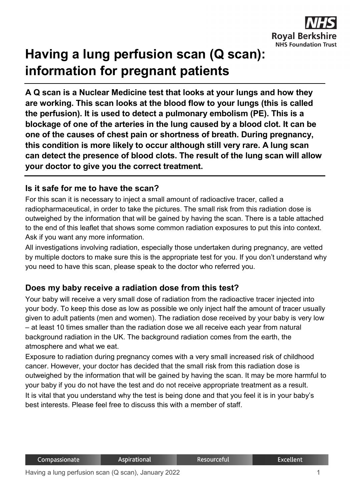

# **Having a lung perfusion scan (Q scan): information for pregnant patients**

**A Q scan is a Nuclear Medicine test that looks at your lungs and how they are working. This scan looks at the blood flow to your lungs (this is called the perfusion). It is used to detect a pulmonary embolism (PE). This is a blockage of one of the arteries in the lung caused by a blood clot. It can be one of the causes of chest pain or shortness of breath. During pregnancy, this condition is more likely to occur although still very rare. A lung scan can detect the presence of blood clots. The result of the lung scan will allow your doctor to give you the correct treatment.**

#### **Is it safe for me to have the scan?**

For this scan it is necessary to inject a small amount of radioactive tracer, called a radiopharmaceutical, in order to take the pictures. The small risk from this radiation dose is outweighed by the information that will be gained by having the scan. There is a table attached to the end of this leaflet that shows some common radiation exposures to put this into context. Ask if you want any more information.

All investigations involving radiation, especially those undertaken during pregnancy, are vetted by multiple doctors to make sure this is the appropriate test for you. If you don't understand why you need to have this scan, please speak to the doctor who referred you.

## **Does my baby receive a radiation dose from this test?**

Your baby will receive a very small dose of radiation from the radioactive tracer injected into your body. To keep this dose as low as possible we only inject half the amount of tracer usually given to adult patients (men and women). The radiation dose received by your baby is very low – at least 10 times smaller than the radiation dose we all receive each year from natural background radiation in the UK. The background radiation comes from the earth, the atmosphere and what we eat.

Exposure to radiation during pregnancy comes with a very small increased risk of childhood cancer. However, your doctor has decided that the small risk from this radiation dose is outweighed by the information that will be gained by having the scan. It may be more harmful to your baby if you do not have the test and do not receive appropriate treatment as a result. It is vital that you understand why the test is being done and that you feel it is in your baby's best interests. Please feel free to discuss this with a member of staff.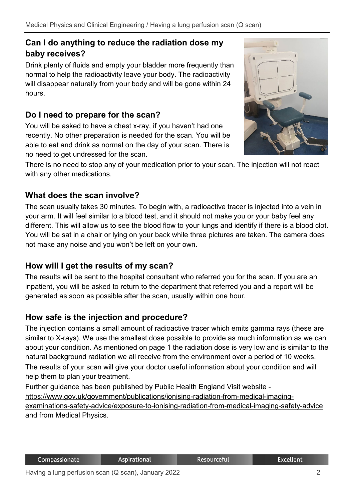# **Can I do anything to reduce the radiation dose my baby receives?**

Drink plenty of fluids and empty your bladder more frequently than normal to help the radioactivity leave your body. The radioactivity will disappear naturally from your body and will be gone within 24 hours.

# **Do I need to prepare for the scan?**

You will be asked to have a chest x-ray, if you haven't had one recently. No other preparation is needed for the scan. You will be able to eat and drink as normal on the day of your scan. There is no need to get undressed for the scan.



There is no need to stop any of your medication prior to your scan. The injection will not react with any other medications.

# **What does the scan involve?**

The scan usually takes 30 minutes. To begin with, a radioactive tracer is injected into a vein in your arm. It will feel similar to a blood test, and it should not make you or your baby feel any different. This will allow us to see the blood flow to your lungs and identify if there is a blood clot. You will be sat in a chair or lying on your back while three pictures are taken. The camera does not make any noise and you won't be left on your own.

## **How will I get the results of my scan?**

The results will be sent to the hospital consultant who referred you for the scan. If you are an inpatient, you will be asked to return to the department that referred you and a report will be generated as soon as possible after the scan, usually within one hour.

## **How safe is the injection and procedure?**

The injection contains a small amount of radioactive tracer which emits gamma rays (these are similar to X-rays). We use the smallest dose possible to provide as much information as we can about your condition. As mentioned on page 1 the radiation dose is very low and is similar to the natural background radiation we all receive from the environment over a period of 10 weeks. The results of your scan will give your doctor useful information about your condition and will help them to plan your treatment.

Further guidance has been published by Public Health England Visit website [https://www.gov.uk/government/publications/ionising-radiation-from-medical-imaging](https://www.gov.uk/government/publications/ionising-radiation-from-medical-imaging-examinations-safety-advice/exposure-to-ionising-radiation-from-medical-imaging-safety-advice)[examinations-safety-advice/exposure-to-ionising-radiation-from-medical-imaging-safety-advice](https://www.gov.uk/government/publications/ionising-radiation-from-medical-imaging-examinations-safety-advice/exposure-to-ionising-radiation-from-medical-imaging-safety-advice) and from Medical Physics.

Resourceful

**Excellent**